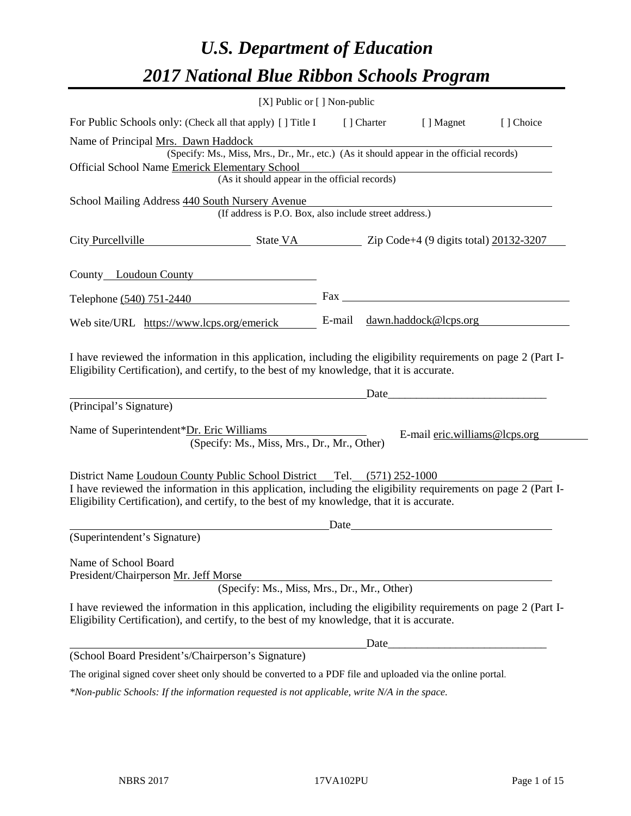# *U.S. Department of Education 2017 National Blue Ribbon Schools Program*

|                                                                                                                                                                                                                                                                                         | [X] Public or [] Non-public |       |                                                                                                                                                                                                                               |           |
|-----------------------------------------------------------------------------------------------------------------------------------------------------------------------------------------------------------------------------------------------------------------------------------------|-----------------------------|-------|-------------------------------------------------------------------------------------------------------------------------------------------------------------------------------------------------------------------------------|-----------|
| For Public Schools only: (Check all that apply) [] Title I                                                                                                                                                                                                                              |                             |       | [] Charter [] Magnet                                                                                                                                                                                                          | [] Choice |
| Name of Principal Mrs. Dawn Haddock<br>(Specify: Ms., Miss, Mrs., Dr., Mr., etc.) (As it should appear in the official records)<br>Official School Name Emerick Elementary School<br>(As it should appear in the official records)                                                      |                             |       |                                                                                                                                                                                                                               |           |
|                                                                                                                                                                                                                                                                                         |                             |       |                                                                                                                                                                                                                               |           |
| School Mailing Address 440 South Nursery Avenue<br>(If address is P.O. Box, also include street address.)                                                                                                                                                                               |                             |       |                                                                                                                                                                                                                               |           |
| City Purcellville State VA State VA Zip Code+4 (9 digits total) 20132-3207                                                                                                                                                                                                              |                             |       |                                                                                                                                                                                                                               |           |
| County Loudoun County                                                                                                                                                                                                                                                                   |                             |       |                                                                                                                                                                                                                               |           |
| Telephone (540) 751-2440                                                                                                                                                                                                                                                                |                             |       |                                                                                                                                                                                                                               |           |
| Web site/URL https://www.lcps.org/emerick                                                                                                                                                                                                                                               |                             |       | E-mail dawn.haddock@lcps.org                                                                                                                                                                                                  |           |
| I have reviewed the information in this application, including the eligibility requirements on page 2 (Part I-<br>Eligibility Certification), and certify, to the best of my knowledge, that it is accurate.                                                                            |                             |       | Date and the same state of the state of the state of the state of the state of the state of the state of the state of the state of the state of the state of the state of the state of the state of the state of the state of |           |
| (Principal's Signature)                                                                                                                                                                                                                                                                 |                             |       |                                                                                                                                                                                                                               |           |
| Name of Superintendent*Dr. Eric Williams<br>(Specify: Ms., Miss, Mrs., Dr., Mr., Other)                                                                                                                                                                                                 |                             |       | E-mail eric.williams@lcps.org                                                                                                                                                                                                 |           |
| District Name Loudoun County Public School District Tel. (571) 252-1000<br>I have reviewed the information in this application, including the eligibility requirements on page 2 (Part I-<br>Eligibility Certification), and certify, to the best of my knowledge, that it is accurate. | Date                        |       |                                                                                                                                                                                                                               |           |
| (Superintendent's Signature)                                                                                                                                                                                                                                                            |                             |       |                                                                                                                                                                                                                               |           |
| Name of School Board<br>President/Chairperson Mr. Jeff Morse<br>(Specify: Ms., Miss, Mrs., Dr., Mr., Other)                                                                                                                                                                             |                             |       |                                                                                                                                                                                                                               |           |
| I have reviewed the information in this application, including the eligibility requirements on page 2 (Part I-<br>Eligibility Certification), and certify, to the best of my knowledge, that it is accurate.                                                                            |                             |       |                                                                                                                                                                                                                               |           |
|                                                                                                                                                                                                                                                                                         |                             | Date_ |                                                                                                                                                                                                                               |           |
| (School Board President's/Chairperson's Signature)                                                                                                                                                                                                                                      |                             |       |                                                                                                                                                                                                                               |           |
| The original signed cover sheet only should be converted to a PDF file and uploaded via the online portal.                                                                                                                                                                              |                             |       |                                                                                                                                                                                                                               |           |
| $*$ Non-public Schools: If the information requested is not applicable, write $N/A$ in the space.                                                                                                                                                                                       |                             |       |                                                                                                                                                                                                                               |           |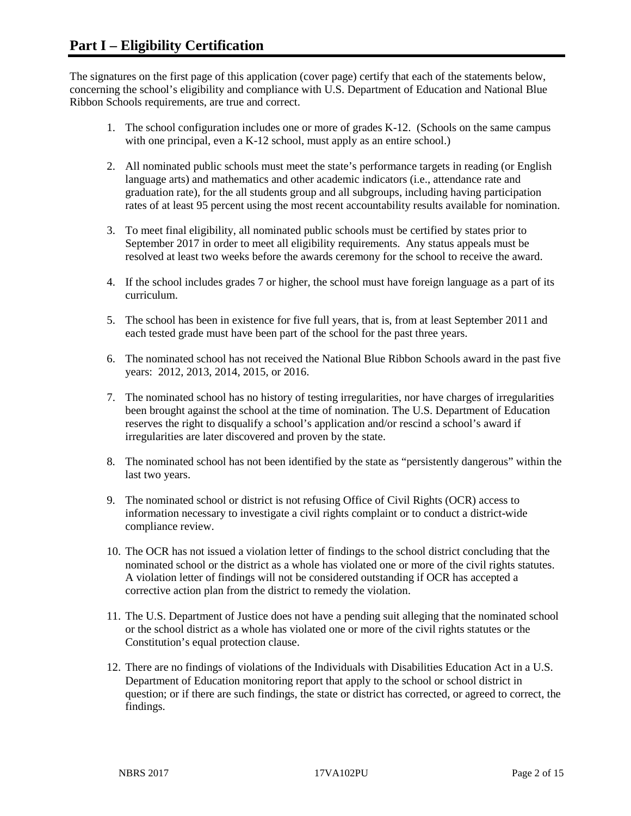The signatures on the first page of this application (cover page) certify that each of the statements below, concerning the school's eligibility and compliance with U.S. Department of Education and National Blue Ribbon Schools requirements, are true and correct.

- 1. The school configuration includes one or more of grades K-12. (Schools on the same campus with one principal, even a K-12 school, must apply as an entire school.)
- 2. All nominated public schools must meet the state's performance targets in reading (or English language arts) and mathematics and other academic indicators (i.e., attendance rate and graduation rate), for the all students group and all subgroups, including having participation rates of at least 95 percent using the most recent accountability results available for nomination.
- 3. To meet final eligibility, all nominated public schools must be certified by states prior to September 2017 in order to meet all eligibility requirements. Any status appeals must be resolved at least two weeks before the awards ceremony for the school to receive the award.
- 4. If the school includes grades 7 or higher, the school must have foreign language as a part of its curriculum.
- 5. The school has been in existence for five full years, that is, from at least September 2011 and each tested grade must have been part of the school for the past three years.
- 6. The nominated school has not received the National Blue Ribbon Schools award in the past five years: 2012, 2013, 2014, 2015, or 2016.
- 7. The nominated school has no history of testing irregularities, nor have charges of irregularities been brought against the school at the time of nomination. The U.S. Department of Education reserves the right to disqualify a school's application and/or rescind a school's award if irregularities are later discovered and proven by the state.
- 8. The nominated school has not been identified by the state as "persistently dangerous" within the last two years.
- 9. The nominated school or district is not refusing Office of Civil Rights (OCR) access to information necessary to investigate a civil rights complaint or to conduct a district-wide compliance review.
- 10. The OCR has not issued a violation letter of findings to the school district concluding that the nominated school or the district as a whole has violated one or more of the civil rights statutes. A violation letter of findings will not be considered outstanding if OCR has accepted a corrective action plan from the district to remedy the violation.
- 11. The U.S. Department of Justice does not have a pending suit alleging that the nominated school or the school district as a whole has violated one or more of the civil rights statutes or the Constitution's equal protection clause.
- 12. There are no findings of violations of the Individuals with Disabilities Education Act in a U.S. Department of Education monitoring report that apply to the school or school district in question; or if there are such findings, the state or district has corrected, or agreed to correct, the findings.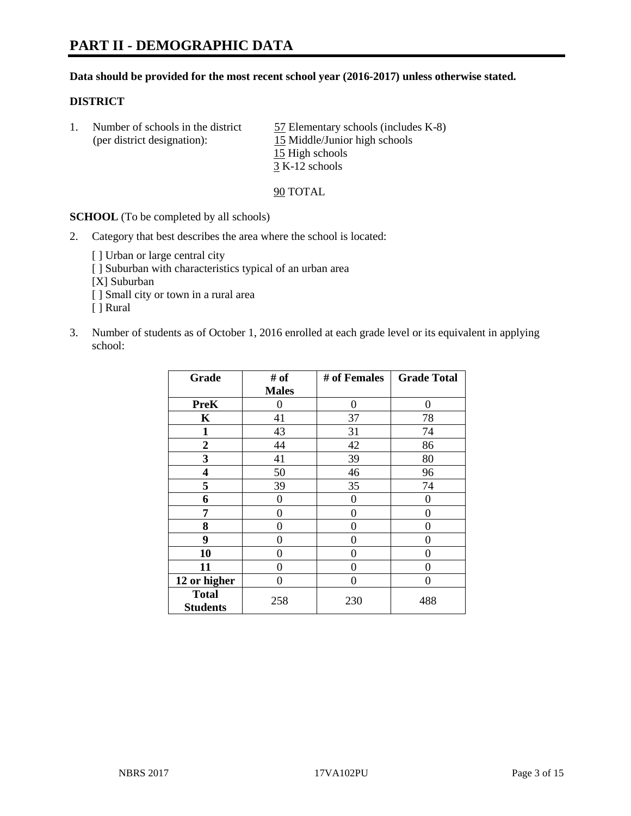# **PART II - DEMOGRAPHIC DATA**

#### **Data should be provided for the most recent school year (2016-2017) unless otherwise stated.**

#### **DISTRICT**

1. Number of schools in the district  $\frac{57}{2}$  Elementary schools (includes K-8) (per district designation): 15 Middle/Junior high schools 15 High schools 3 K-12 schools

90 TOTAL

**SCHOOL** (To be completed by all schools)

- 2. Category that best describes the area where the school is located:
	- [] Urban or large central city [ ] Suburban with characteristics typical of an urban area [X] Suburban [ ] Small city or town in a rural area [ ] Rural
- 3. Number of students as of October 1, 2016 enrolled at each grade level or its equivalent in applying school:

| Grade                           | # of         | # of Females | <b>Grade Total</b> |
|---------------------------------|--------------|--------------|--------------------|
|                                 | <b>Males</b> |              |                    |
| <b>PreK</b>                     | 0            | $\theta$     | 0                  |
| K                               | 41           | 37           | 78                 |
| 1                               | 43           | 31           | 74                 |
| $\overline{2}$                  | 44           | 42           | 86                 |
| 3                               | 41           | 39           | 80                 |
| 4                               | 50           | 46           | 96                 |
| 5                               | 39           | 35           | 74                 |
| 6                               | 0            | 0            | 0                  |
| 7                               | 0            | 0            | 0                  |
| 8                               | 0            | 0            | 0                  |
| 9                               | 0            | 0            | 0                  |
| 10                              | $\theta$     | 0            | 0                  |
| 11                              | 0            | 0            | $\mathbf{\Omega}$  |
| 12 or higher                    | 0            | 0            | 0                  |
| <b>Total</b><br><b>Students</b> | 258          | 230          | 488                |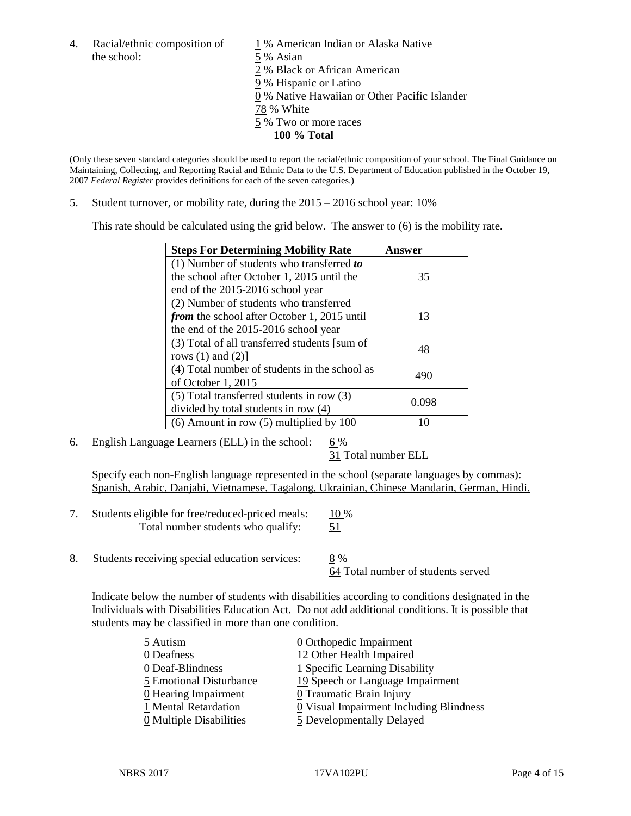4. Racial/ethnic composition of  $1\%$  American Indian or Alaska Native the school: 5 % Asian

 % Black or African American % Hispanic or Latino % Native Hawaiian or Other Pacific Islander 78 % White % Two or more races **100 % Total**

(Only these seven standard categories should be used to report the racial/ethnic composition of your school. The Final Guidance on Maintaining, Collecting, and Reporting Racial and Ethnic Data to the U.S. Department of Education published in the October 19, 2007 *Federal Register* provides definitions for each of the seven categories.)

5. Student turnover, or mobility rate, during the 2015 – 2016 school year: 10%

This rate should be calculated using the grid below. The answer to (6) is the mobility rate.

| <b>Steps For Determining Mobility Rate</b>         | Answer |  |
|----------------------------------------------------|--------|--|
| (1) Number of students who transferred to          |        |  |
| the school after October 1, 2015 until the         | 35     |  |
| end of the 2015-2016 school year                   |        |  |
| (2) Number of students who transferred             |        |  |
| <i>from</i> the school after October 1, 2015 until | 13     |  |
| the end of the 2015-2016 school year               |        |  |
| (3) Total of all transferred students [sum of      | 48     |  |
| rows $(1)$ and $(2)$ ]                             |        |  |
| (4) Total number of students in the school as      | 490    |  |
| of October 1, 2015                                 |        |  |
| (5) Total transferred students in row (3)          | 0.098  |  |
| divided by total students in row (4)               |        |  |
| $(6)$ Amount in row $(5)$ multiplied by 100        | 10     |  |

6. English Language Learners (ELL) in the school:  $6\%$ 

31 Total number ELL

Specify each non-English language represented in the school (separate languages by commas): Spanish, Arabic, Danjabi, Vietnamese, Tagalong, Ukrainian, Chinese Mandarin, German, Hindi.

- 7. Students eligible for free/reduced-priced meals: 10 % Total number students who qualify: 51
- 8. Students receiving special education services: 8 %

64 Total number of students served

Indicate below the number of students with disabilities according to conditions designated in the Individuals with Disabilities Education Act. Do not add additional conditions. It is possible that students may be classified in more than one condition.

| 5 Autism                              | $\underline{0}$ Orthopedic Impairment   |
|---------------------------------------|-----------------------------------------|
| 0 Deafness                            | 12 Other Health Impaired                |
| 0 Deaf-Blindness                      | 1 Specific Learning Disability          |
| 5 Emotional Disturbance               | 19 Speech or Language Impairment        |
| $\underline{0}$ Hearing Impairment    | 0 Traumatic Brain Injury                |
| 1 Mental Retardation                  | 0 Visual Impairment Including Blindness |
| $\underline{0}$ Multiple Disabilities | 5 Developmentally Delayed               |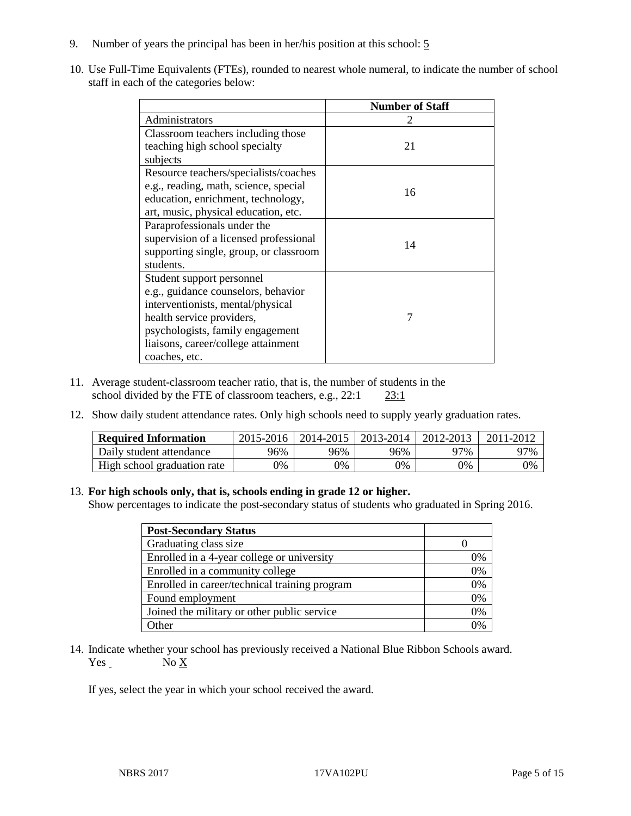- 9. Number of years the principal has been in her/his position at this school: 5
- 10. Use Full-Time Equivalents (FTEs), rounded to nearest whole numeral, to indicate the number of school staff in each of the categories below:

|                                        | <b>Number of Staff</b> |
|----------------------------------------|------------------------|
| Administrators                         |                        |
| Classroom teachers including those     |                        |
| teaching high school specialty         | 21                     |
| subjects                               |                        |
| Resource teachers/specialists/coaches  |                        |
| e.g., reading, math, science, special  | 16                     |
| education, enrichment, technology,     |                        |
| art, music, physical education, etc.   |                        |
| Paraprofessionals under the            |                        |
| supervision of a licensed professional | 14                     |
| supporting single, group, or classroom |                        |
| students.                              |                        |
| Student support personnel              |                        |
| e.g., guidance counselors, behavior    |                        |
| interventionists, mental/physical      |                        |
| health service providers,              | 7                      |
| psychologists, family engagement       |                        |
| liaisons, career/college attainment    |                        |
| coaches, etc.                          |                        |

- 11. Average student-classroom teacher ratio, that is, the number of students in the school divided by the FTE of classroom teachers, e.g.,  $22:1$   $23:1$
- 12. Show daily student attendance rates. Only high schools need to supply yearly graduation rates.

| <b>Required Information</b> | 2015-2016 | $2014 - 2015$ | 2013-2014 | 2012-2013 | 2011-2012 |
|-----------------------------|-----------|---------------|-----------|-----------|-----------|
| Daily student attendance    | 96%       | 96%           | 96%       | 97%       | 97%       |
| High school graduation rate | $0\%$     | 0%            | 0%        | 9%        | 0%        |

#### 13. **For high schools only, that is, schools ending in grade 12 or higher.**

Show percentages to indicate the post-secondary status of students who graduated in Spring 2016.

| <b>Post-Secondary Status</b>                  |    |
|-----------------------------------------------|----|
| Graduating class size                         |    |
| Enrolled in a 4-year college or university    | 0% |
| Enrolled in a community college               | 0% |
| Enrolled in career/technical training program | 0% |
| Found employment                              | 0% |
| Joined the military or other public service   | 0% |
| Other                                         | በ% |

14. Indicate whether your school has previously received a National Blue Ribbon Schools award.  $Yes$  No  $X$ 

If yes, select the year in which your school received the award.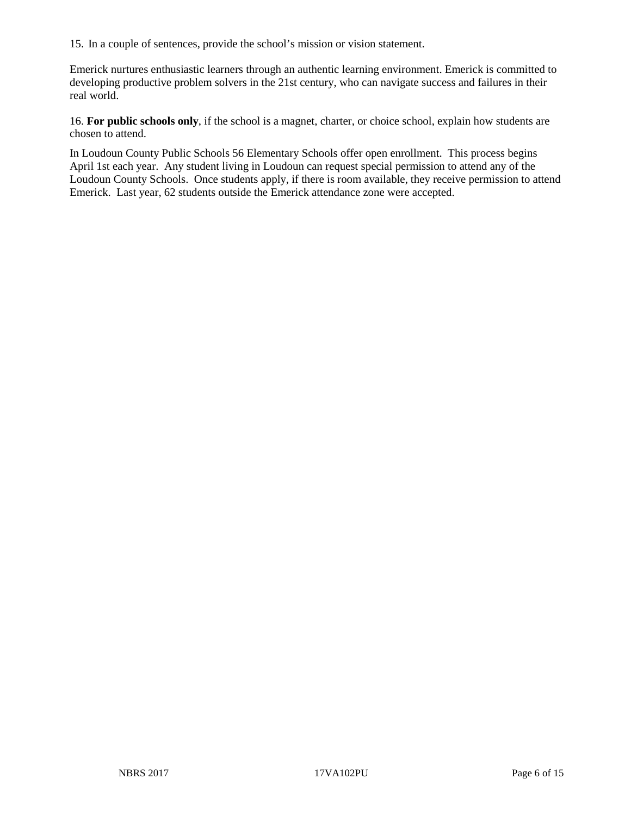15. In a couple of sentences, provide the school's mission or vision statement.

Emerick nurtures enthusiastic learners through an authentic learning environment. Emerick is committed to developing productive problem solvers in the 21st century, who can navigate success and failures in their real world.

16. **For public schools only**, if the school is a magnet, charter, or choice school, explain how students are chosen to attend.

In Loudoun County Public Schools 56 Elementary Schools offer open enrollment. This process begins April 1st each year. Any student living in Loudoun can request special permission to attend any of the Loudoun County Schools. Once students apply, if there is room available, they receive permission to attend Emerick. Last year, 62 students outside the Emerick attendance zone were accepted.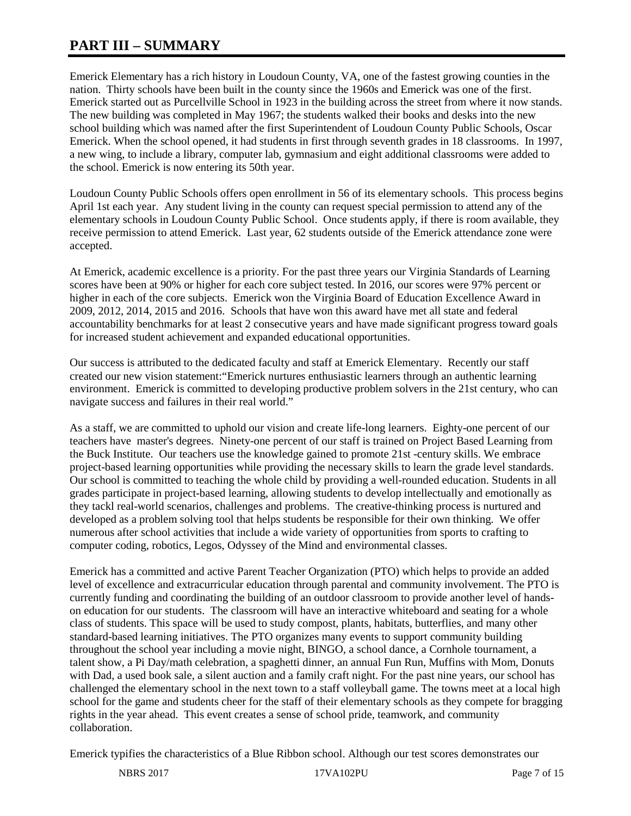# **PART III – SUMMARY**

Emerick Elementary has a rich history in Loudoun County, VA, one of the fastest growing counties in the nation. Thirty schools have been built in the county since the 1960s and Emerick was one of the first. Emerick started out as Purcellville School in 1923 in the building across the street from where it now stands. The new building was completed in May 1967; the students walked their books and desks into the new school building which was named after the first Superintendent of Loudoun County Public Schools, Oscar Emerick. When the school opened, it had students in first through seventh grades in 18 classrooms. In 1997, a new wing, to include a library, computer lab, gymnasium and eight additional classrooms were added to the school. Emerick is now entering its 50th year.

Loudoun County Public Schools offers open enrollment in 56 of its elementary schools. This process begins April 1st each year. Any student living in the county can request special permission to attend any of the elementary schools in Loudoun County Public School. Once students apply, if there is room available, they receive permission to attend Emerick. Last year, 62 students outside of the Emerick attendance zone were accepted.

At Emerick, academic excellence is a priority. For the past three years our Virginia Standards of Learning scores have been at 90% or higher for each core subject tested. In 2016, our scores were 97% percent or higher in each of the core subjects. Emerick won the Virginia Board of Education Excellence Award in 2009, 2012, 2014, 2015 and 2016. Schools that have won this award have met all state and federal accountability benchmarks for at least 2 consecutive years and have made significant progress toward goals for increased student achievement and expanded educational opportunities.

Our success is attributed to the dedicated faculty and staff at Emerick Elementary. Recently our staff created our new vision statement:"Emerick nurtures enthusiastic learners through an authentic learning environment. Emerick is committed to developing productive problem solvers in the 21st century, who can navigate success and failures in their real world."

As a staff, we are committed to uphold our vision and create life-long learners. Eighty-one percent of our teachers have master's degrees. Ninety-one percent of our staff is trained on Project Based Learning from the Buck Institute. Our teachers use the knowledge gained to promote 21st -century skills. We embrace project-based learning opportunities while providing the necessary skills to learn the grade level standards. Our school is committed to teaching the whole child by providing a well-rounded education. Students in all grades participate in project-based learning, allowing students to develop intellectually and emotionally as they tackl real-world scenarios, challenges and problems. The creative-thinking process is nurtured and developed as a problem solving tool that helps students be responsible for their own thinking. We offer numerous after school activities that include a wide variety of opportunities from sports to crafting to computer coding, robotics, Legos, Odyssey of the Mind and environmental classes.

Emerick has a committed and active Parent Teacher Organization (PTO) which helps to provide an added level of excellence and extracurricular education through parental and community involvement. The PTO is currently funding and coordinating the building of an outdoor classroom to provide another level of handson education for our students. The classroom will have an interactive whiteboard and seating for a whole class of students. This space will be used to study compost, plants, habitats, butterflies, and many other standard-based learning initiatives. The PTO organizes many events to support community building throughout the school year including a movie night, BINGO, a school dance, a Cornhole tournament, a talent show, a Pi Day/math celebration, a spaghetti dinner, an annual Fun Run, Muffins with Mom, Donuts with Dad, a used book sale, a silent auction and a family craft night. For the past nine years, our school has challenged the elementary school in the next town to a staff volleyball game. The towns meet at a local high school for the game and students cheer for the staff of their elementary schools as they compete for bragging rights in the year ahead. This event creates a sense of school pride, teamwork, and community collaboration.

Emerick typifies the characteristics of a Blue Ribbon school. Although our test scores demonstrates our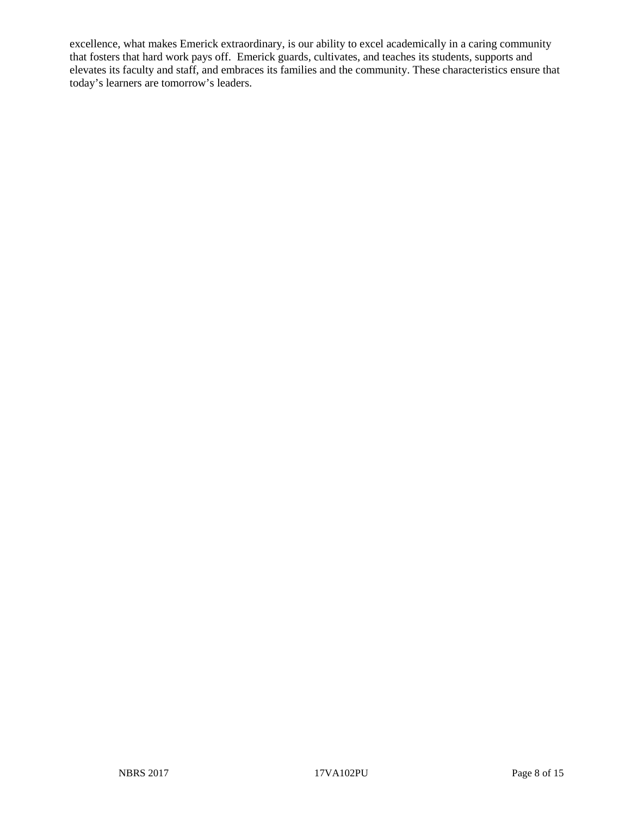excellence, what makes Emerick extraordinary, is our ability to excel academically in a caring community that fosters that hard work pays off. Emerick guards, cultivates, and teaches its students, supports and elevates its faculty and staff, and embraces its families and the community. These characteristics ensure that today's learners are tomorrow's leaders.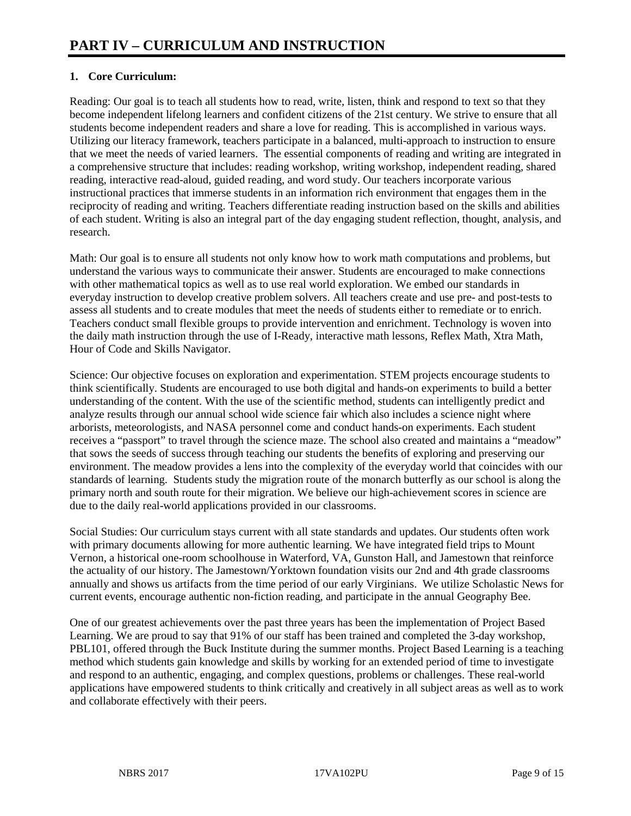# **1. Core Curriculum:**

Reading: Our goal is to teach all students how to read, write, listen, think and respond to text so that they become independent lifelong learners and confident citizens of the 21st century. We strive to ensure that all students become independent readers and share a love for reading. This is accomplished in various ways. Utilizing our literacy framework, teachers participate in a balanced, multi-approach to instruction to ensure that we meet the needs of varied learners. The essential components of reading and writing are integrated in a comprehensive structure that includes: reading workshop, writing workshop, independent reading, shared reading, interactive read-aloud, guided reading, and word study. Our teachers incorporate various instructional practices that immerse students in an information rich environment that engages them in the reciprocity of reading and writing. Teachers differentiate reading instruction based on the skills and abilities of each student. Writing is also an integral part of the day engaging student reflection, thought, analysis, and research.

Math: Our goal is to ensure all students not only know how to work math computations and problems, but understand the various ways to communicate their answer. Students are encouraged to make connections with other mathematical topics as well as to use real world exploration. We embed our standards in everyday instruction to develop creative problem solvers. All teachers create and use pre- and post-tests to assess all students and to create modules that meet the needs of students either to remediate or to enrich. Teachers conduct small flexible groups to provide intervention and enrichment. Technology is woven into the daily math instruction through the use of I-Ready, interactive math lessons, Reflex Math, Xtra Math, Hour of Code and Skills Navigator.

Science: Our objective focuses on exploration and experimentation. STEM projects encourage students to think scientifically. Students are encouraged to use both digital and hands-on experiments to build a better understanding of the content. With the use of the scientific method, students can intelligently predict and analyze results through our annual school wide science fair which also includes a science night where arborists, meteorologists, and NASA personnel come and conduct hands-on experiments. Each student receives a "passport" to travel through the science maze. The school also created and maintains a "meadow" that sows the seeds of success through teaching our students the benefits of exploring and preserving our environment. The meadow provides a lens into the complexity of the everyday world that coincides with our standards of learning. Students study the migration route of the monarch butterfly as our school is along the primary north and south route for their migration. We believe our high-achievement scores in science are due to the daily real-world applications provided in our classrooms.

Social Studies: Our curriculum stays current with all state standards and updates. Our students often work with primary documents allowing for more authentic learning. We have integrated field trips to Mount Vernon, a historical one-room schoolhouse in Waterford, VA, Gunston Hall, and Jamestown that reinforce the actuality of our history. The Jamestown/Yorktown foundation visits our 2nd and 4th grade classrooms annually and shows us artifacts from the time period of our early Virginians. We utilize Scholastic News for current events, encourage authentic non-fiction reading, and participate in the annual Geography Bee.

One of our greatest achievements over the past three years has been the implementation of Project Based Learning. We are proud to say that 91% of our staff has been trained and completed the 3-day workshop, PBL101, offered through the Buck Institute during the summer months. Project Based Learning is a teaching method which students gain knowledge and skills by working for an extended period of time to investigate and respond to an authentic, engaging, and complex questions, problems or challenges. These real-world applications have empowered students to think critically and creatively in all subject areas as well as to work and collaborate effectively with their peers.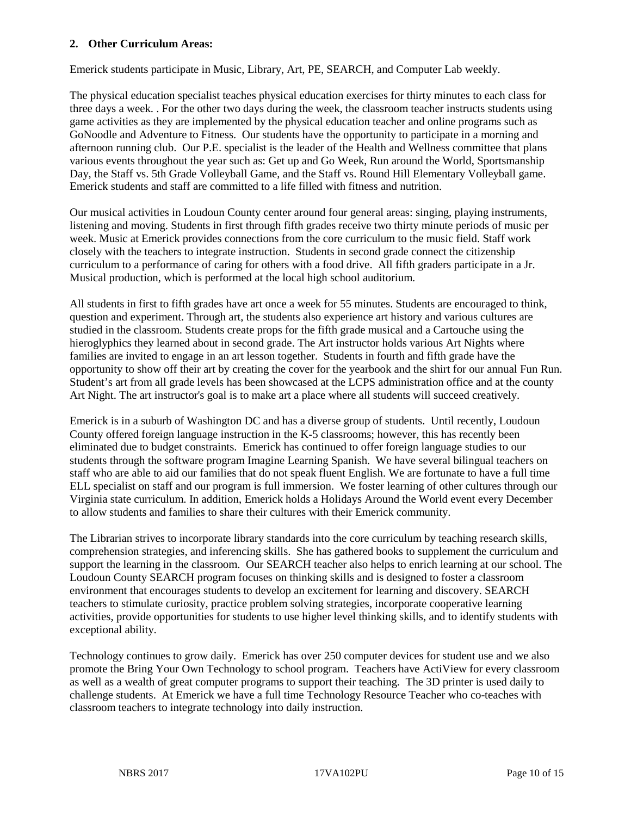#### **2. Other Curriculum Areas:**

Emerick students participate in Music, Library, Art, PE, SEARCH, and Computer Lab weekly.

The physical education specialist teaches physical education exercises for thirty minutes to each class for three days a week. . For the other two days during the week, the classroom teacher instructs students using game activities as they are implemented by the physical education teacher and online programs such as GoNoodle and Adventure to Fitness. Our students have the opportunity to participate in a morning and afternoon running club. Our P.E. specialist is the leader of the Health and Wellness committee that plans various events throughout the year such as: Get up and Go Week, Run around the World, Sportsmanship Day, the Staff vs. 5th Grade Volleyball Game, and the Staff vs. Round Hill Elementary Volleyball game. Emerick students and staff are committed to a life filled with fitness and nutrition.

Our musical activities in Loudoun County center around four general areas: singing, playing instruments, listening and moving. Students in first through fifth grades receive two thirty minute periods of music per week. Music at Emerick provides connections from the core curriculum to the music field. Staff work closely with the teachers to integrate instruction. Students in second grade connect the citizenship curriculum to a performance of caring for others with a food drive. All fifth graders participate in a Jr. Musical production, which is performed at the local high school auditorium.

All students in first to fifth grades have art once a week for 55 minutes. Students are encouraged to think, question and experiment. Through art, the students also experience art history and various cultures are studied in the classroom. Students create props for the fifth grade musical and a Cartouche using the hieroglyphics they learned about in second grade. The Art instructor holds various Art Nights where families are invited to engage in an art lesson together. Students in fourth and fifth grade have the opportunity to show off their art by creating the cover for the yearbook and the shirt for our annual Fun Run. Student's art from all grade levels has been showcased at the LCPS administration office and at the county Art Night. The art instructor's goal is to make art a place where all students will succeed creatively.

Emerick is in a suburb of Washington DC and has a diverse group of students. Until recently, Loudoun County offered foreign language instruction in the K-5 classrooms; however, this has recently been eliminated due to budget constraints. Emerick has continued to offer foreign language studies to our students through the software program Imagine Learning Spanish. We have several bilingual teachers on staff who are able to aid our families that do not speak fluent English. We are fortunate to have a full time ELL specialist on staff and our program is full immersion. We foster learning of other cultures through our Virginia state curriculum. In addition, Emerick holds a Holidays Around the World event every December to allow students and families to share their cultures with their Emerick community.

The Librarian strives to incorporate library standards into the core curriculum by teaching research skills, comprehension strategies, and inferencing skills. She has gathered books to supplement the curriculum and support the learning in the classroom. Our SEARCH teacher also helps to enrich learning at our school. The Loudoun County SEARCH program focuses on thinking skills and is designed to foster a classroom environment that encourages students to develop an excitement for learning and discovery. SEARCH teachers to stimulate curiosity, practice problem solving strategies, incorporate cooperative learning activities, provide opportunities for students to use higher level thinking skills, and to identify students with exceptional ability.

Technology continues to grow daily. Emerick has over 250 computer devices for student use and we also promote the Bring Your Own Technology to school program. Teachers have ActiView for every classroom as well as a wealth of great computer programs to support their teaching. The 3D printer is used daily to challenge students. At Emerick we have a full time Technology Resource Teacher who co-teaches with classroom teachers to integrate technology into daily instruction.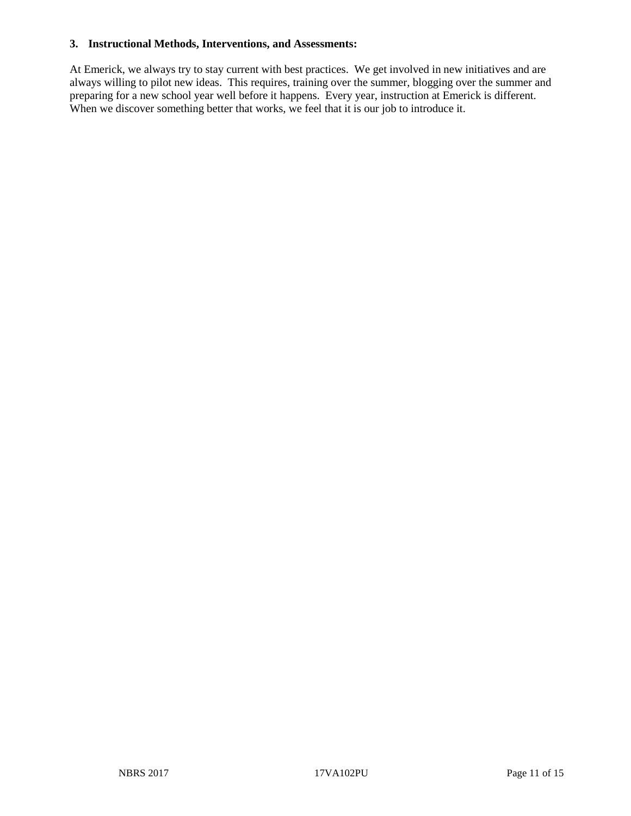#### **3. Instructional Methods, Interventions, and Assessments:**

At Emerick, we always try to stay current with best practices. We get involved in new initiatives and are always willing to pilot new ideas. This requires, training over the summer, blogging over the summer and preparing for a new school year well before it happens. Every year, instruction at Emerick is different. When we discover something better that works, we feel that it is our job to introduce it.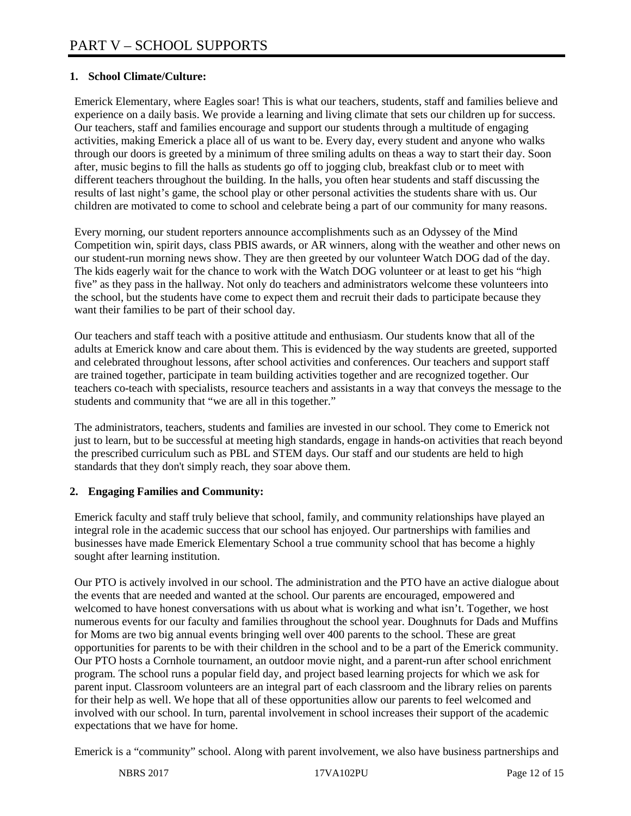# **1. School Climate/Culture:**

Emerick Elementary, where Eagles soar! This is what our teachers, students, staff and families believe and experience on a daily basis. We provide a learning and living climate that sets our children up for success. Our teachers, staff and families encourage and support our students through a multitude of engaging activities, making Emerick a place all of us want to be. Every day, every student and anyone who walks through our doors is greeted by a minimum of three smiling adults on theas a way to start their day. Soon after, music begins to fill the halls as students go off to jogging club, breakfast club or to meet with different teachers throughout the building. In the halls, you often hear students and staff discussing the results of last night's game, the school play or other personal activities the students share with us. Our children are motivated to come to school and celebrate being a part of our community for many reasons.

Every morning, our student reporters announce accomplishments such as an Odyssey of the Mind Competition win, spirit days, class PBIS awards, or AR winners, along with the weather and other news on our student-run morning news show. They are then greeted by our volunteer Watch DOG dad of the day. The kids eagerly wait for the chance to work with the Watch DOG volunteer or at least to get his "high five" as they pass in the hallway. Not only do teachers and administrators welcome these volunteers into the school, but the students have come to expect them and recruit their dads to participate because they want their families to be part of their school day.

Our teachers and staff teach with a positive attitude and enthusiasm. Our students know that all of the adults at Emerick know and care about them. This is evidenced by the way students are greeted, supported and celebrated throughout lessons, after school activities and conferences. Our teachers and support staff are trained together, participate in team building activities together and are recognized together. Our teachers co-teach with specialists, resource teachers and assistants in a way that conveys the message to the students and community that "we are all in this together."

The administrators, teachers, students and families are invested in our school. They come to Emerick not just to learn, but to be successful at meeting high standards, engage in hands-on activities that reach beyond the prescribed curriculum such as PBL and STEM days. Our staff and our students are held to high standards that they don't simply reach, they soar above them.

## **2. Engaging Families and Community:**

Emerick faculty and staff truly believe that school, family, and community relationships have played an integral role in the academic success that our school has enjoyed. Our partnerships with families and businesses have made Emerick Elementary School a true community school that has become a highly sought after learning institution.

Our PTO is actively involved in our school. The administration and the PTO have an active dialogue about the events that are needed and wanted at the school. Our parents are encouraged, empowered and welcomed to have honest conversations with us about what is working and what isn't. Together, we host numerous events for our faculty and families throughout the school year. Doughnuts for Dads and Muffins for Moms are two big annual events bringing well over 400 parents to the school. These are great opportunities for parents to be with their children in the school and to be a part of the Emerick community. Our PTO hosts a Cornhole tournament, an outdoor movie night, and a parent-run after school enrichment program. The school runs a popular field day, and project based learning projects for which we ask for parent input. Classroom volunteers are an integral part of each classroom and the library relies on parents for their help as well. We hope that all of these opportunities allow our parents to feel welcomed and involved with our school. In turn, parental involvement in school increases their support of the academic expectations that we have for home.

Emerick is a "community" school. Along with parent involvement, we also have business partnerships and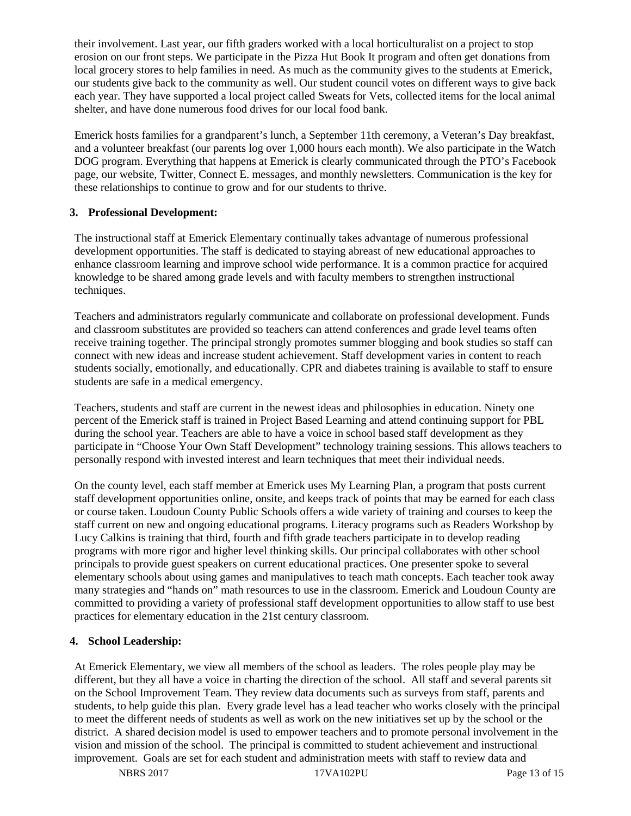their involvement. Last year, our fifth graders worked with a local horticulturalist on a project to stop erosion on our front steps. We participate in the Pizza Hut Book It program and often get donations from local grocery stores to help families in need. As much as the community gives to the students at Emerick, our students give back to the community as well. Our student council votes on different ways to give back each year. They have supported a local project called Sweats for Vets, collected items for the local animal shelter, and have done numerous food drives for our local food bank.

Emerick hosts families for a grandparent's lunch, a September 11th ceremony, a Veteran's Day breakfast, and a volunteer breakfast (our parents log over 1,000 hours each month). We also participate in the Watch DOG program. Everything that happens at Emerick is clearly communicated through the PTO's Facebook page, our website, Twitter, Connect E. messages, and monthly newsletters. Communication is the key for these relationships to continue to grow and for our students to thrive.

## **3. Professional Development:**

The instructional staff at Emerick Elementary continually takes advantage of numerous professional development opportunities. The staff is dedicated to staying abreast of new educational approaches to enhance classroom learning and improve school wide performance. It is a common practice for acquired knowledge to be shared among grade levels and with faculty members to strengthen instructional techniques.

Teachers and administrators regularly communicate and collaborate on professional development. Funds and classroom substitutes are provided so teachers can attend conferences and grade level teams often receive training together. The principal strongly promotes summer blogging and book studies so staff can connect with new ideas and increase student achievement. Staff development varies in content to reach students socially, emotionally, and educationally. CPR and diabetes training is available to staff to ensure students are safe in a medical emergency.

Teachers, students and staff are current in the newest ideas and philosophies in education. Ninety one percent of the Emerick staff is trained in Project Based Learning and attend continuing support for PBL during the school year. Teachers are able to have a voice in school based staff development as they participate in "Choose Your Own Staff Development" technology training sessions. This allows teachers to personally respond with invested interest and learn techniques that meet their individual needs.

On the county level, each staff member at Emerick uses My Learning Plan, a program that posts current staff development opportunities online, onsite, and keeps track of points that may be earned for each class or course taken. Loudoun County Public Schools offers a wide variety of training and courses to keep the staff current on new and ongoing educational programs. Literacy programs such as Readers Workshop by Lucy Calkins is training that third, fourth and fifth grade teachers participate in to develop reading programs with more rigor and higher level thinking skills. Our principal collaborates with other school principals to provide guest speakers on current educational practices. One presenter spoke to several elementary schools about using games and manipulatives to teach math concepts. Each teacher took away many strategies and "hands on" math resources to use in the classroom. Emerick and Loudoun County are committed to providing a variety of professional staff development opportunities to allow staff to use best practices for elementary education in the 21st century classroom.

## **4. School Leadership:**

At Emerick Elementary, we view all members of the school as leaders. The roles people play may be different, but they all have a voice in charting the direction of the school. All staff and several parents sit on the School Improvement Team. They review data documents such as surveys from staff, parents and students, to help guide this plan. Every grade level has a lead teacher who works closely with the principal to meet the different needs of students as well as work on the new initiatives set up by the school or the district. A shared decision model is used to empower teachers and to promote personal involvement in the vision and mission of the school. The principal is committed to student achievement and instructional improvement. Goals are set for each student and administration meets with staff to review data and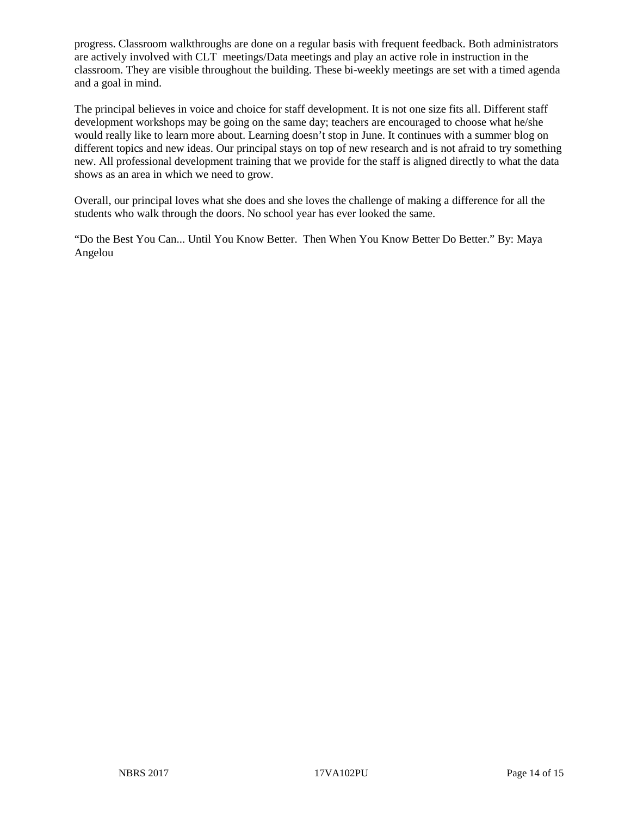progress. Classroom walkthroughs are done on a regular basis with frequent feedback. Both administrators are actively involved with CLT meetings/Data meetings and play an active role in instruction in the classroom. They are visible throughout the building. These bi-weekly meetings are set with a timed agenda and a goal in mind.

The principal believes in voice and choice for staff development. It is not one size fits all. Different staff development workshops may be going on the same day; teachers are encouraged to choose what he/she would really like to learn more about. Learning doesn't stop in June. It continues with a summer blog on different topics and new ideas. Our principal stays on top of new research and is not afraid to try something new. All professional development training that we provide for the staff is aligned directly to what the data shows as an area in which we need to grow.

Overall, our principal loves what she does and she loves the challenge of making a difference for all the students who walk through the doors. No school year has ever looked the same.

"Do the Best You Can... Until You Know Better. Then When You Know Better Do Better." By: Maya Angelou